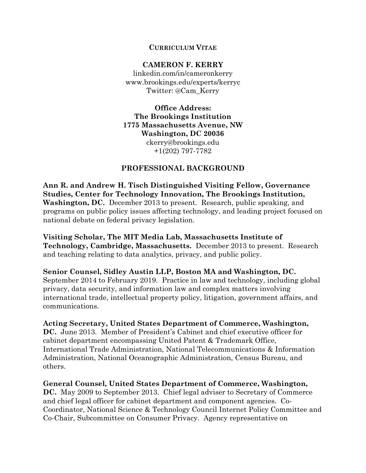### **CURRICULUM VITAE**

### **CAMERON F. KERRY**

linkedin.com/in/cameronkerry www.brookings.edu/experts/kerryc Twitter: @Cam\_Kerry

**Office Address: The Brookings Institution 1775 Massachusetts Avenue, NW Washington, DC 20036** ckerry@brookings.edu +1(202) 797-7782

### **PROFESSIONAL BACKGROUND**

**Ann R. and Andrew H. Tisch Distinguished Visiting Fellow, Governance Studies, Center for Technology Innovation, The Brookings Institution, Washington, DC.** December 2013 to present. Research, public speaking, and programs on public policy issues affecting technology, and leading project focused on national debate on federal privacy legislation.

**Visiting Scholar, The MIT Media Lab, Massachusetts Institute of Technology, Cambridge, Massachusetts.** December 2013 to present. Research and teaching relating to data analytics, privacy, and public policy.

**Senior Counsel, Sidley Austin LLP, Boston MA and Washington, DC.**  September 2014 to February 2019. Practice in law and technology, including global privacy, data security, and information law and complex matters involving international trade, intellectual property policy, litigation, government affairs, and communications.

### **Acting Secretary, United States Department of Commerce, Washington,**

**DC.** June 2013. Member of President's Cabinet and chief executive officer for cabinet department encompassing United Patent & Trademark Office, International Trade Administration, National Telecommunications & Information Administration, National Oceanographic Administration, Census Bureau, and others.

**General Counsel, United States Department of Commerce, Washington,** 

**DC.** May 2009 to September 2013. Chief legal adviser to Secretary of Commerce and chief legal officer for cabinet department and component agencies. Co-Coordinator, National Science & Technology Council Internet Policy Committee and Co-Chair, Subcommittee on Consumer Privacy. Agency representative on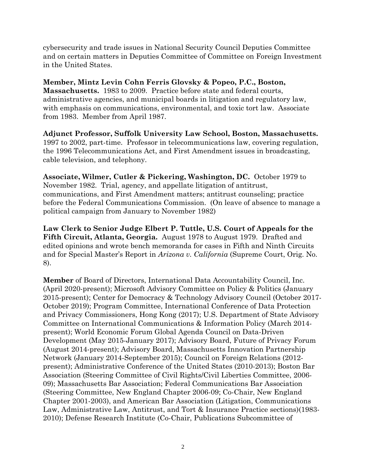cybersecurity and trade issues in National Security Council Deputies Committee and on certain matters in Deputies Committee of Committee on Foreign Investment in the United States.

**Member, Mintz Levin Cohn Ferris Glovsky & Popeo, P.C., Boston, Massachusetts.** 1983 to 2009. Practice before state and federal courts, administrative agencies, and municipal boards in litigation and regulatory law, with emphasis on communications, environmental, and toxic tort law. Associate from 1983. Member from April 1987.

**Adjunct Professor, Suffolk University Law School, Boston, Massachusetts.** 1997 to 2002, part-time. Professor in telecommunications law, covering regulation, the 1996 Telecommunications Act, and First Amendment issues in broadcasting, cable television, and telephony.

**Associate, Wilmer, Cutler & Pickering, Washington, DC.** October 1979 to November 1982. Trial, agency, and appellate litigation of antitrust, communications, and First Amendment matters; antitrust counseling; practice before the Federal Communications Commission. (On leave of absence to manage a political campaign from January to November 1982)

**Law Clerk to Senior Judge Elbert P. Tuttle, U.S. Court of Appeals for the Fifth Circuit, Atlanta, Georgia.** August 1978 to August 1979. Drafted and edited opinions and wrote bench memoranda for cases in Fifth and Ninth Circuits and for Special Master's Report in *Arizona v. California* (Supreme Court, Orig. No. 8).

**Member** of Board of Directors, International Data Accountability Council, Inc. (April 2020-present); Microsoft Advisory Committee on Policy & Politics (January 2015-present); Center for Democracy & Technology Advisory Council (October 2017- October 2019); Program Committee, International Conference of Data Protection and Privacy Commissioners, Hong Kong (2017); U.S. Department of State Advisory Committee on International Communications & Information Policy (March 2014 present); World Economic Forum Global Agenda Council on Data-Driven Development (May 2015-January 2017); Advisory Board, Future of Privacy Forum (August 2014-present); Advisory Board, Massachusetts Innovation Partnership Network (January 2014-September 2015); Council on Foreign Relations (2012 present); Administrative Conference of the United States (2010-2013); Boston Bar Association (Steering Committee of Civil Rights/Civil Liberties Committee, 2006- 09); Massachusetts Bar Association; Federal Communications Bar Association (Steering Committee, New England Chapter 2006-09; Co-Chair, New England Chapter 2001-2003), and American Bar Association (Litigation, Communications Law, Administrative Law, Antitrust, and Tort & Insurance Practice sections)(1983- 2010); Defense Research Institute (Co-Chair, Publications Subcommittee of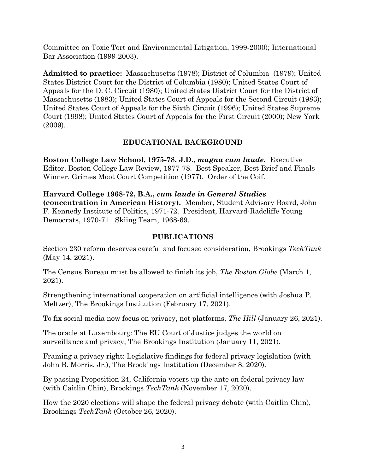Committee on Toxic Tort and Environmental Litigation, 1999-2000); International Bar Association (1999-2003).

**Admitted to practice:** Massachusetts (1978); District of Columbia (1979); United States District Court for the District of Columbia (1980); United States Court of Appeals for the D. C. Circuit (1980); United States District Court for the District of Massachusetts (1983); United States Court of Appeals for the Second Circuit (1983); United States Court of Appeals for the Sixth Circuit (1996); United States Supreme Court (1998); United States Court of Appeals for the First Circuit (2000); New York (2009).

## **EDUCATIONAL BACKGROUND**

**Boston College Law School, 1975-78, J.D.,** *magna cum laude***.** Executive Editor, Boston College Law Review, 1977-78. Best Speaker, Best Brief and Finals Winner, Grimes Moot Court Competition (1977). Order of the Coif.

**Harvard College 1968-72, B.A.,** *cum laude in General Studies*  **(concentration in American History).** Member, Student Advisory Board, John F. Kennedy Institute of Politics, 1971-72. President, Harvard-Radcliffe Young Democrats, 1970-71. Skiing Team, 1968-69.

## **PUBLICATIONS**

Section 230 reform deserves careful and focused consideration, Brookings *TechTank*  (May 14, 2021).

The Census Bureau must be allowed to finish its job, *The Boston Globe* (March 1, 2021).

Strengthening international cooperation on artificial intelligence (with Joshua P. Meltzer), The Brookings Institution (February 17, 2021).

To fix social media now focus on privacy, not platforms, *The Hill* (January 26, 2021).

The oracle at Luxembourg: The EU Court of Justice judges the world on surveillance and privacy, The Brookings Institution (January 11, 2021).

Framing a privacy right: Legislative findings for federal privacy legislation (with John B. Morris, Jr.), The Brookings Institution (December 8, 2020).

By passing Proposition 24, California voters up the ante on federal privacy law (with Caitlin Chin), Brookings *TechTank* (November 17, 2020).

How the 2020 elections will shape the federal privacy debate (with Caitlin Chin), Brookings *TechTank* (October 26, 2020).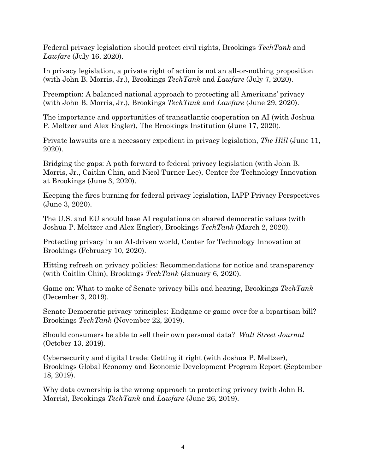Federal privacy legislation should protect civil rights, Brookings *TechTank* and *Lawfare* (July 16, 2020).

In privacy legislation, a private right of action is not an all-or-nothing proposition (with John B. Morris, Jr.), Brookings *TechTank* and *Lawfare* (July 7, 2020).

Preemption: A balanced national approach to protecting all Americans' privacy (with John B. Morris, Jr.), Brookings *TechTank* and *Lawfare* (June 29, 2020).

The importance and opportunities of transatlantic cooperation on AI (with Joshua P. Meltzer and Alex Engler), The Brookings Institution (June 17, 2020).

Private lawsuits are a necessary expedient in privacy legislation, *The Hill* (June 11, 2020).

Bridging the gaps: A path forward to federal privacy legislation (with John B. Morris, Jr., Caitlin Chin, and Nicol Turner Lee), Center for Technology Innovation at Brookings (June 3, 2020).

Keeping the fires burning for federal privacy legislation, IAPP Privacy Perspectives (June 3, 2020).

The U.S. and EU should base AI regulations on shared democratic values (with Joshua P. Meltzer and Alex Engler), Brookings *TechTank* (March 2, 2020).

Protecting privacy in an AI-driven world, Center for Technology Innovation at Brookings (February 10, 2020).

Hitting refresh on privacy policies: Recommendations for notice and transparency (with Caitlin Chin), Brookings *TechTank* (January 6, 2020).

Game on: What to make of Senate privacy bills and hearing, Brookings *TechTank* (December 3, 2019).

Senate Democratic privacy principles: Endgame or game over for a bipartisan bill? Brookings *TechTank* (November 22, 2019).

Should consumers be able to sell their own personal data? *Wall Street Journal* (October 13, 2019).

Cybersecurity and digital trade: Getting it right (with Joshua P. Meltzer), Brookings Global Economy and Economic Development Program Report (September 18, 2019).

Why data ownership is the wrong approach to protecting privacy (with John B. Morris), Brookings *TechTank* and *Lawfare* (June 26, 2019).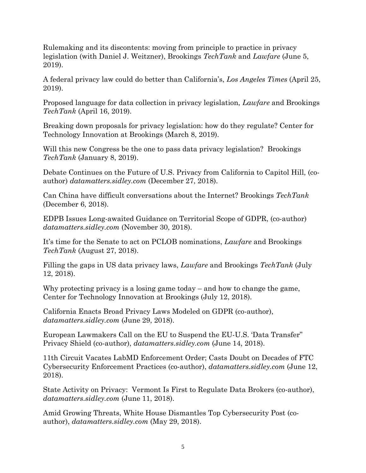Rulemaking and its discontents: moving from principle to practice in privacy legislation (with Daniel J. Weitzner), Brookings *TechTank* and *Lawfare* (June 5, 2019).

A federal privacy law could do better than California's, *Los Angeles Times* (April 25, 2019).

Proposed language for data collection in privacy legislation, *Lawfare* and Brookings *TechTank* (April 16, 2019).

Breaking down proposals for privacy legislation: how do they regulate? Center for Technology Innovation at Brookings (March 8, 2019).

Will this new Congress be the one to pass data privacy legislation? Brookings *TechTank* (January 8, 2019).

Debate Continues on the Future of U.S. Privacy from California to Capitol Hill, (coauthor) *datamatters.sidley.com* (December 27, 2018).

Can China have difficult conversations about the Internet? Brookings *TechTank* (December 6, 2018).

EDPB Issues Long-awaited Guidance on Territorial Scope of GDPR, (co-author) *datamatters.sidley.com* (November 30, 2018).

It's time for the Senate to act on PCLOB nominations, *Lawfare* and Brookings *TechTank* (August 27, 2018).

Filling the gaps in US data privacy laws, *Lawfare* and Brookings *TechTank* (July 12, 2018).

Why protecting privacy is a losing game today – and how to change the game, Center for Technology Innovation at Brookings (July 12, 2018).

California Enacts Broad Privacy Laws Modeled on GDPR (co-author), *datamatters.sidley.com* (June 29, 2018).

European Lawmakers Call on the EU to Suspend the EU-U.S. 'Data Transfer" Privacy Shield (co-author), *datamatters.sidley.com* (June 14, 2018).

11th Circuit Vacates LabMD Enforcement Order; Casts Doubt on Decades of FTC Cybersecurity Enforcement Practices (co-author), *datamatters.sidley.com* (June 12, 2018).

State Activity on Privacy: Vermont Is First to Regulate Data Brokers (co-author), *datamatters.sidley.com* (June 11, 2018).

Amid Growing Threats, White House Dismantles Top Cybersecurity Post (coauthor), *datamatters.sidley.com* (May 29, 2018).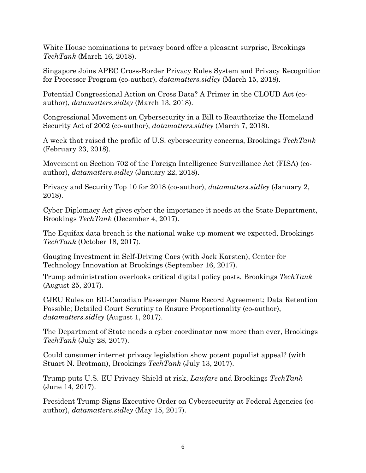White House nominations to privacy board offer a pleasant surprise, Brookings *TechTank* (March 16, 2018).

Singapore Joins APEC Cross-Border Privacy Rules System and Privacy Recognition for Processor Program (co-author), *datamatters.sidley* (March 15, 2018).

Potential Congressional Action on Cross Data? A Primer in the CLOUD Act (coauthor), *datamatters.sidley* (March 13, 2018).

Congressional Movement on Cybersecurity in a Bill to Reauthorize the Homeland Security Act of 2002 (co-author), *datamatters.sidley* (March 7, 2018).

A week that raised the profile of U.S. cybersecurity concerns, Brookings *TechTank*  (February 23, 2018).

Movement on Section 702 of the Foreign Intelligence Surveillance Act (FISA) (coauthor), *datamatters.sidley* (January 22, 2018).

Privacy and Security Top 10 for 2018 (co-author), *datamatters.sidley* (January 2, 2018).

Cyber Diplomacy Act gives cyber the importance it needs at the State Department, Brookings *TechTank* (December 4, 2017).

The Equifax data breach is the national wake-up moment we expected, Brookings *TechTank* (October 18, 2017).

Gauging Investment in Self-Driving Cars (with Jack Karsten), Center for Technology Innovation at Brookings (September 16, 2017).

Trump administration overlooks critical digital policy posts, Brookings *TechTank*  (August 25, 2017).

CJEU Rules on EU-Canadian Passenger Name Record Agreement; Data Retention Possible; Detailed Court Scrutiny to Ensure Proportionality (co-author), *datamatters.sidley* (August 1, 2017).

The Department of State needs a cyber coordinator now more than ever, Brookings *TechTank* (July 28, 2017).

Could consumer internet privacy legislation show potent populist appeal? (with Stuart N. Brotman), Brookings *TechTank* (July 13, 2017).

Trump puts U.S.-EU Privacy Shield at risk, *Lawfare* and Brookings *TechTank*  (June 14, 2017).

President Trump Signs Executive Order on Cybersecurity at Federal Agencies (coauthor), *datamatters.sidley* (May 15, 2017).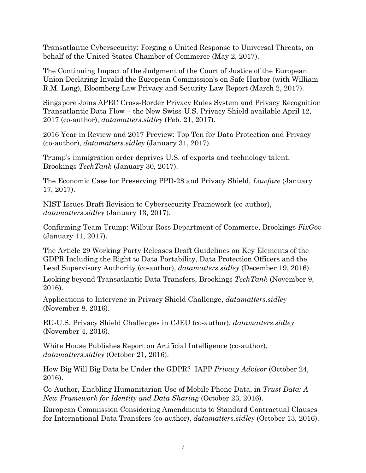[Transatlantic Cybersecurity: Forging a](https://urldefense.proofpoint.com/v2/url?u=https-3A__www.uschamber.com_TransatlanticCybersecurityReport&d=DwMGaQ&c=Od00qP2XTg0tXf_H69-T2w&r=8-25Bp-gyoHVS0aXogiJ-4yD_r0HlxHx8m9lEFsNfGI&m=NkaVHqZSVCdlljSCTEhd79TpN8U7RfoPtjfXu_80U1A&s=2lFmkdxG0GZTVcLr8PrRjS7VzL7x9SICS2g4JoUXMOk&e=) United Response to Universal Threats, on behalf of the United States Chamber of Commerce (May 2, 2017).

The Continuing Impact of the Judgment of the Court of Justice of the European Union Declaring Invalid the European Commission's on Safe Harbor (with William R.M. Long), Bloomberg Law Privacy and Security Law Report (March 2, 2017).

Singapore Joins APEC Cross-Border Privacy Rules System and Privacy Recognition Transatlantic Data Flow – the New Swiss-U.S. Privacy Shield available April 12, 2017 (co-author), *datamatters.sidley* (Feb. 21, 2017).

2016 Year in Review and 2017 Preview: Top Ten for Data Protection and Privacy (co-author), *datamatters.sidley* (January 31, 2017).

Trump's immigration order deprives U.S. of exports and technology talent, Brookings *TechTank* (January 30, 2017).

[The Economic Case for Preserving PPD-28 and Privacy Shield,](http://datamatters.sidley.com/economic-case-preserving-ppd-28-privacy-shield/) *Lawfare* (January [17, 2017\).](http://datamatters.sidley.com/economic-case-preserving-ppd-28-privacy-shield/)

NIST Issues Draft Revision to Cybersecurity Framework (co-author), *datamatters.sidley* (January 13, 2017).

Confirming Team Trump: Wilbur Ross Department of Commerce, Brookings *FixGov* (January 11, 2017).

The Article 29 Working Party Releases Draft Guidelines on Key Elements of the GDPR Including the Right to Data Portability, Data Protection Officers and the Lead Supervisory Authority (co-author), *datamatters.sidley* (December 19, 2016).

[Looking beyond Transatlantic Data Transfers,](https://www.brookings.edu/blog/techtank/2016/11/09/looking-beyond-transatlantic-data-transfers/) Brookings *TechTank* (November 9, 2016).

Applications to Intervene in Privacy Shield Challenge, *datamatters.sidley*  (November 8. 2016).

EU-U.S. Privacy Shield Challenges in CJEU (co-author), *datamatters.sidley*  (November 4, 2016).

White House Publishes Report on Artificial Intelligence (co-author), *datamatters.sidley* (October 21, 2016).

How Big Will Big Data be Under the GDPR? IAPP *Privacy Advisor* (October 24, 2016).

Co-Author, Enabling Humanitarian Use of Mobile Phone Data, in *Trust Data: A New Framework for Identity and Data Sharing* (October 23, 2016).

European Commission Considering Amendments to Standard Contractual Clauses for International Data Transfers (co-author), *datamatters.sidley* (October 13, 2016).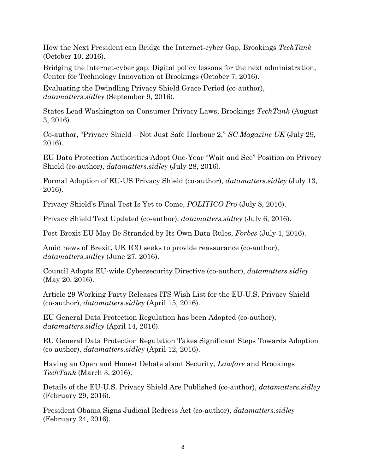[How the Next President can Bridge the Internet-cyber Gap,](https://www.brookings.edu/blog/techtank/2016/10/10/how-the-next-president-can-bridge-the-internet-cyber-gap/) Brookings *TechTank* (October 10, 2016).

Bridging the internet-cyber gap: Digital policy lessons for the next administration, Center for Technology Innovation at Brookings (October 7, 2016).

Evaluating the Dwindling Privacy Shield Grace Period (co-author), *datamatters.sidley* (September 9, 2016).

States [Lead Washington on Consumer Privacy Laws,](https://www.brookings.edu/blog/techtank/2016/08/03/states-lead-washington-on-consumer-privacy-laws/) Brookings *TechTank* (August 3, 2016).

Co-author, "Privacy Shield – Not Just Safe Harbour 2," *SC Magazine UK* (July 29, 2016).

EU Data Protection Authorities Adopt One-Year "Wait and See" Position on Privacy Shield (co-author), *datamatters.sidley* (July 28, 2016).

Formal Adoption of EU-US Privacy Shield (co-author), *datamatters.sidley* (July 13, 2016).

Privacy Shield's Final Test Is Yet to Come, *POLITICO Pro* (July 8, 2016).

Privacy Shield Text Updated (co-author), *datamatters.sidley* (July 6, 2016).

Post-Brexit EU May Be Stranded by Its Own Data Rules, *Forbes* (July 1, 2016).

Amid news of Brexit, UK ICO seeks to provide reassurance (co-author), *datamatters.sidley* (June 27, 2016).

Council Adopts EU-wide Cybersecurity Directive (co-author), *datamatters.sidley*  (May 20, 2016).

Article 29 Working Party Releases ITS Wish List for the EU-U.S. Privacy Shield (co-author), *datamatters.sidley* (April 15, 2016).

EU General Data Protection Regulation has been Adopted (co-author), *datamatters.sidley* (April 14, 2016).

EU General Data Protection Regulation Takes Significant Steps Towards Adoption (co-author), *datamatters.sidley* (April 12, 2016).

[Having an Open and Honest Debate about Security,](https://www.brookings.edu/blog/techtank/2016/03/03/having-an-open-and-honest-debate-about-security/) *Lawfare* and Brookings *TechTank* (March 3, 2016).

Details of the EU-U.S. Privacy Shield Are Published (co-author), *datamatters.sidley*  (February 29, 2016).

President Obama Signs Judicial Redress Act (co-author), *datamatters.sidley*  (February 24, 2016).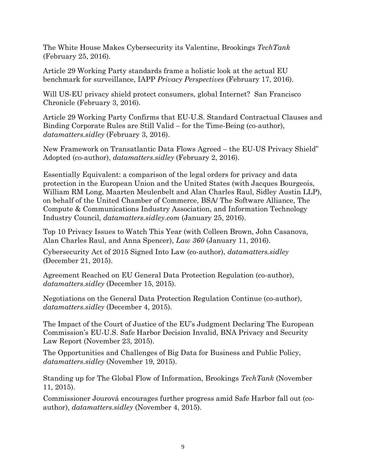[The White House Makes Cybersecurity its Valentine,](https://www.brookings.edu/blog/techtank/2016/02/25/the-white-house-makes-cybersecurity-its-valentine/) Brookings *TechTank* (February 25, 2016).

Article 29 Working Party standards frame a holistic look at the actual EU benchmark for surveillance, IAPP *Privacy Perspectives* (February 17, 2016).

Will US-EU privacy shield protect consumers, global Internet? San Francisco Chronicle (February 3, 2016).

Article 29 Working Party Confirms that EU-U.S. Standard Contractual Clauses and Binding Corporate Rules are Still Valid – for the Time-Being (co-author), *datamatters.sidley* (February 3, 2016).

New Framework on Transatlantic Data Flows Agreed – the EU-US Privacy Shield" Adopted (co-author), *datamatters.sidley* (February 2, 2016).

Essentially Equivalent: a comparison of the legal orders for privacy and data protection in the European Union and the United States (with Jacques Bourgeois, William RM Long, Maarten Meulenbelt and Alan Charles Raul, Sidley Austin LLP), on behalf of the United Chamber of Commerce, BSA/ The Software Alliance, The Compute & Communications Industry Association, and Information Technology Industry Council, *datamatters.sidley.com* (January 25, 2016).

Top 10 Privacy Issues to Watch This Year (with Colleen Brown, John Casanova, Alan Charles Raul, and Anna Spencer), *Law 360* (January 11, 2016).

Cybersecurity Act of 2015 Signed Into Law (co-author), *datamatters.sidley*  (December 21, 2015).

Agreement Reached on EU General Data Protection Regulation (co-author), *datamatters.sidley* (December 15, 2015).

Negotiations on the General Data Protection Regulation Continue (co-author), *datamatters.sidley* (December 4, 2015).

The Impact of the Court of Justice of the EU's Judgment Declaring The European Commission's EU-U.S. Safe Harbor Decision Invalid, BNA Privacy and Security Law Report (November 23, 2015).

The Opportunities and Challenges of Big Data for Business and Public Policy, *datamatters.sidley* (November 19, 2015).

Standing up for The Global Flow of Information, Brookings *TechTank* (November 11, 2015).

Commissioner Jourová encourages further progress amid Safe Harbor fall out (coauthor), *datamatters.sidley* (November 4, 2015).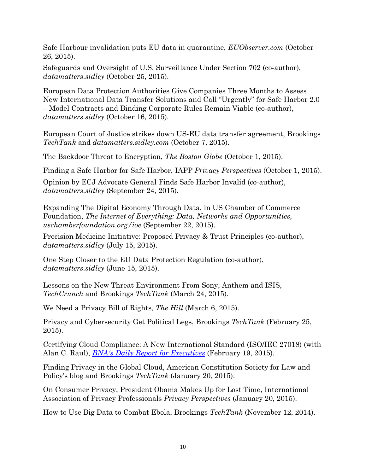Safe Harbour invalidation puts EU data in quarantine, *EUObserver.com* (October 26, 2015).

Safeguards and Oversight of U.S. Surveillance Under Section 702 (co-author), *datamatters.sidley* (October 25, 2015).

European Data Protection Authorities Give Companies Three Months to Assess New International Data Transfer Solutions and Call "Urgently" for Safe Harbor 2.0 – Model Contracts and Binding Corporate Rules Remain Viable (co-author), *datamatters.sidley* (October 16, 2015).

European Court of Justice strikes down US-EU data transfer agreement, Brookings *TechTank* and *datamatters.sidley.com* (October 7, 2015).

The Backdoor Threat to Encryption, *The Boston Globe* (October 1, 2015).

Finding a Safe Harbor for Safe Harbor, IAPP *Privacy Perspectives* (October 1, 2015).

Opinion by ECJ Advocate General Finds Safe Harbor Invalid (co-author), *datamatters.sidley* (September 24, 2015).

Expanding The Digital Economy Through Data, in US Chamber of Commerce Foundation, *The Internet of Everything: Data, Networks and Opportunities, uschamberfoundation.org/ioe* (September 22, 2015).

Precision Medicine Initiative: Proposed Privacy & Trust Principles (co-author), *datamatters.sidley* (July 15, 2015).

One Step Closer to the EU Data Protection Regulation (co-author), *datamatters.sidley* (June 15, 2015).

Lessons on the New Threat Environment From Sony, Anthem and ISIS, *TechCrunch* and Brookings *TechTank* (March 24, 2015).

We Need a Privacy Bill of Rights, *The Hill* (March 6, 2015).

Privacy and Cybersecurity Get Political Legs, Brookings *TechTank* (February 25, 2015).

[Certifying Cloud Compliance: A New International Standard \(ISO/IEC 27018\)](http://www.sidley.com/en/publications/certifying-cloud-compliance) (with Alan C. Raul), *[BNA's Daily Report for Executives](http://www.sidley.com/en/publications/certifying-cloud-compliance)* (February 19, 2015).

Finding Privacy in the Global Cloud, American Constitution Society for Law and Policy's blog and Brookings *TechTank* (January 20, 2015).

On Consumer Privacy, President Obama Makes Up for Lost Time, International Association of Privacy Professionals *Privacy Perspectives* (January 20, 2015).

How to Use Big Data to Combat Ebola, Brookings *TechTank* (November 12, 2014).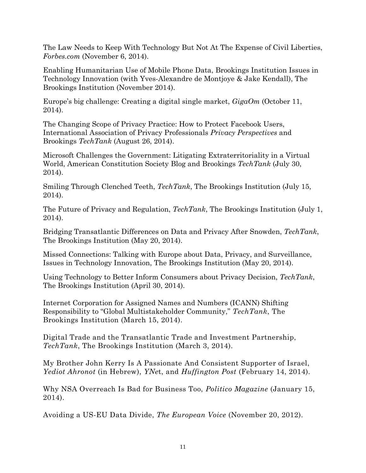The Law Needs to Keep With Technology But Not At The Expense of Civil Liberties, *Forbes.com* (November 6, 2014).

Enabling Humanitarian Use of Mobile Phone Data, Brookings Institution Issues in Technology Innovation (with Yves-Alexandre de Montjoye & Jake Kendall), The Brookings Institution (November 2014).

Europe's big challenge: Creating a digital single market, *GigaOm* (October 11, 2014).

The Changing Scope of Privacy Practice: How to Protect Facebook Users, International Association of Privacy Professionals *Privacy Perspectives* and Brookings *TechTank* (August 26, 2014).

Microsoft Challenges the Government: Litigating Extraterritoriality in a Virtual World, American Constitution Society Blog and Brookings *TechTank* (July 30, 2014).

Smiling Through Clenched Teeth, *TechTank*, The Brookings Institution (July 15, 2014).

The Future of Privacy and Regulation, *TechTank*, The Brookings Institution (July 1, 2014).

Bridging Transatlantic Differences on Data and Privacy After Snowden, *TechTank*, The Brookings Institution (May 20, 2014).

Missed Connections: Talking with Europe about Data, Privacy, and Surveillance, Issues in Technology Innovation, The Brookings Institution (May 20, 2014).

Using Technology to Better Inform Consumers about Privacy Decision, *TechTank*, The Brookings Institution (April 30, 2014).

Internet Corporation for Assigned Names and Numbers (ICANN) Shifting Responsibility to "Global Multistakeholder Community," *TechTank*, The Brookings Institution (March 15, 2014).

Digital Trade and the Transatlantic Trade and Investment Partnership, *TechTank*, The Brookings Institution (March 3, 2014).

My Brother John Kerry Is A Passionate And Consistent Supporter of Israel, *Yediot Ahronot* (in Hebrew), *YNe*t, and *Huffington Post* (February 14, 2014).

Why NSA Overreach Is Bad for Business Too, *Politico Magazine* (January 15, 2014).

Avoiding a US-EU Data Divide, *The European Voice* (November 20, 2012).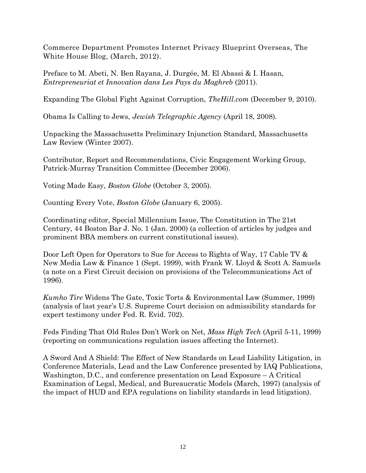Commerce Department Promotes Internet Privacy Blueprint Overseas, The White House Blog, (March, 2012).

Preface to M. Abeti, N. Ben Rayana, J. Durgée, M. El Abassi & I. Hasan, *Entrepreneuriat et Innovation dans Les Pays du Maghreb* (2011).

Expanding The Global Fight Against Corruption, *TheHill.com* (December 9, 2010).

Obama Is Calling to Jews, *Jewish Telegraphic Agency* (April 18, 2008).

Unpacking the Massachusetts Preliminary Injunction Standard, Massachusetts Law Review (Winter 2007).

Contributor, Report and Recommendations, Civic Engagement Working Group, Patrick-Murray Transition Committee (December 2006).

Voting Made Easy, *Boston Globe* (October 3, 2005).

Counting Every Vote, *Boston Globe* (January 6, 2005).

Coordinating editor, Special Millennium Issue, The Constitution in The 21st Century, 44 Boston Bar J. No. 1 (Jan. 2000) (a collection of articles by judges and prominent BBA members on current constitutional issues).

Door Left Open for Operators to Sue for Access to Rights of Way, 17 Cable TV & New Media Law & Finance 1 (Sept. 1999), with Frank W. Lloyd & Scott A. Samuels (a note on a First Circuit decision on provisions of the Telecommunications Act of 1996).

*Kumho Tire* Widens The Gate, Toxic Torts & Environmental Law (Summer, 1999) (analysis of last year's U.S. Supreme Court decision on admissibility standards for expert testimony under Fed. R. Evid. 702).

Feds Finding That Old Rules Don't Work on Net, *Mass High Tech* (April 5-11, 1999) (reporting on communications regulation issues affecting the Internet).

A Sword And A Shield: The Effect of New Standards on Lead Liability Litigation, in Conference Materials, Lead and the Law Conference presented by IAQ Publications, Washington, D.C., and conference presentation on Lead Exposure – A Critical Examination of Legal, Medical, and Bureaucratic Models (March, 1997) (analysis of the impact of HUD and EPA regulations on liability standards in lead litigation).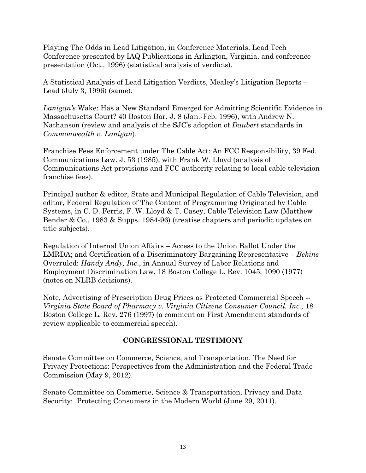Playing The Odds in Lead Litigation, in Conference Materials, Lead Tech Conference presented by IAQ Publications in Arlington, Virginia, and conference presentation (Oct., 1996) (statistical analysis of verdicts).

A Statistical Analysis of Lead Litigation Verdicts, Mealey's Litigation Reports – Lead (July 3, 1996) (same).

*Lanigan's* Wake: Has a New Standard Emerged for Admitting Scientific Evidence in Massachusetts Court? 40 Boston Bar. J. 8 (Jan.-Feb. 1996), with Andrew N. Nathanson (review and analysis of the SJC's adoption of *Daubert* standards in *Commonwealth v. Lanigan*).

Franchise Fees Enforcement under The Cable Act: An FCC Responsibility, 39 Fed. Communications Law. J. 53 (1985), with Frank W. Lloyd (analysis of Communications Act provisions and FCC authority relating to local cable television franchise fees).

Principal author & editor, State and Municipal Regulation of Cable Television, and editor, Federal Regulation of The Content of Programming Originated by Cable Systems, in C. D. Ferris, F. W. Lloyd & T. Casey, Cable Television Law (Matthew Bender & Co., 1983 & Supps. 1984-96) (treatise chapters and periodic updates on title subjects).

Regulation of Internal Union Affairs – Access to the Union Ballot Under the LMRDA; and Certification of a Discriminatory Bargaining Representative – *Bekins* Overruled: *Handy Andy, Inc*., in Annual Survey of Labor Relations and Employment Discrimination Law, 18 Boston College L. Rev. 1045, 1090 (1977) (notes on NLRB decisions).

Note, Advertising of Prescription Drug Prices as Protected Commercial Speech -- *Virginia State Board of Pharmacy v. Virginia Citizens Consumer Council, Inc.,* 18 Boston College L. Rev. 276 (1997) (a comment on First Amendment standards of review applicable to commercial speech).

### **CONGRESSIONAL TESTIMONY**

Senate Committee on Commerce, Science, and Transportation, The Need for Privacy Protections: Perspectives from the Administration and the Federal Trade Commission (May 9, 2012).

Senate Committee on Commerce, Science & Transportation, Privacy and Data Security: Protecting Consumers in the Modern World (June 29, 2011).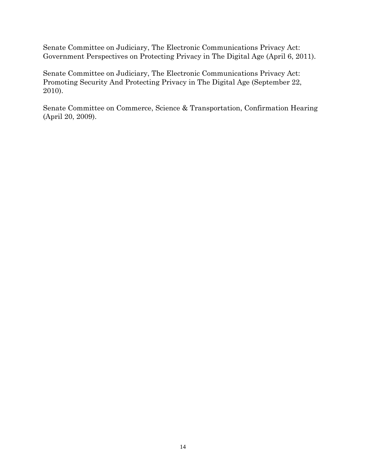Senate Committee on Judiciary, The Electronic Communications Privacy Act: Government Perspectives on Protecting Privacy in The Digital Age (April 6, 2011).

Senate Committee on Judiciary, The Electronic Communications Privacy Act: Promoting Security And Protecting Privacy in The Digital Age (September 22, 2010).

Senate Committee on Commerce, Science & Transportation, Confirmation Hearing (April 20, 2009).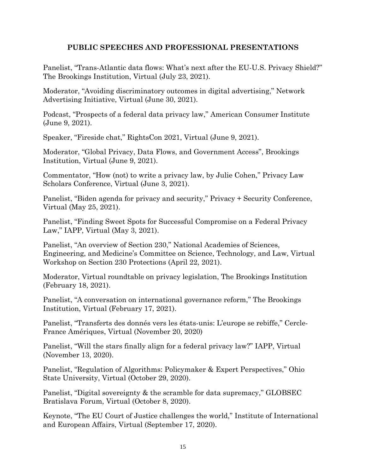### **PUBLIC SPEECHES AND PROFESSIONAL PRESENTATIONS**

Panelist, "Trans-Atlantic data flows: What's next after the EU-U.S. Privacy Shield?" The Brookings Institution, Virtual (July 23, 2021).

Moderator, "Avoiding discriminatory outcomes in digital advertising," Network Advertising Initiative, Virtual (June 30, 2021).

Podcast, "Prospects of a federal data privacy law," American Consumer Institute (June 9, 2021).

Speaker, "Fireside chat," RightsCon 2021, Virtual (June 9, 2021).

Moderator, "Global Privacy, Data Flows, and Government Access", Brookings Institution, Virtual (June 9, 2021).

Commentator, "How (not) to write a privacy law, by Julie Cohen," Privacy Law Scholars Conference, Virtual (June 3, 2021).

Panelist, "Biden agenda for privacy and security," Privacy + Security Conference, Virtual (May 25, 2021).

Panelist, "Finding Sweet Spots for Successful Compromise on a Federal Privacy Law," IAPP, Virtual (May 3, 2021).

Panelist, "An overview of Section 230," National Academies of Sciences, Engineering, and Medicine's Committee on Science, Technology, and Law, Virtual Workshop on Section 230 Protections (April 22, 2021).

Moderator, Virtual roundtable on privacy legislation, The Brookings Institution (February 18, 2021).

Panelist, "A conversation on international governance reform," The Brookings Institution, Virtual (February 17, 2021).

Panelist, "Transferts des donnés vers les états-unis: L'europe se rebiffe," Cercle-France Amériques, Virtual (November 20, 2020)

Panelist, "Will the stars finally align for a federal privacy law?" IAPP, Virtual (November 13, 2020).

Panelist, "Regulation of Algorithms: Policymaker & Expert Perspectives," Ohio State University, Virtual (October 29, 2020).

Panelist, "Digital sovereignty & the scramble for data supremacy," GLOBSEC Bratislava Forum, Virtual (October 8, 2020).

Keynote, "The EU Court of Justice challenges the world," Institute of International and European Affairs, Virtual (September 17, 2020).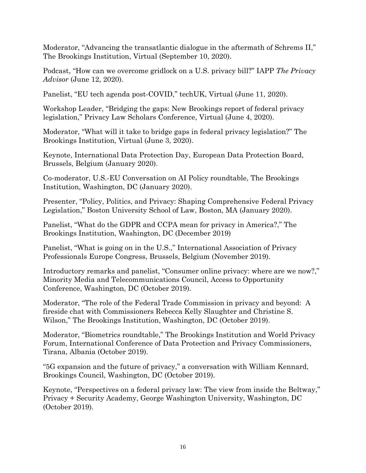Moderator, "Advancing the transatlantic dialogue in the aftermath of Schrems II," The Brookings Institution, Virtual (September 10, 2020).

Podcast, "How can we overcome gridlock on a U.S. privacy bill?" IAPP *The Privacy Advisor* (June 12, 2020).

Panelist, "EU tech agenda post-COVID," techUK, Virtual (June 11, 2020).

Workshop Leader, "Bridging the gaps: New Brookings report of federal privacy legislation," Privacy Law Scholars Conference, Virtual (June 4, 2020).

Moderator, "What will it take to bridge gaps in federal privacy legislation?" The Brookings Institution, Virtual (June 3, 2020).

Keynote, International Data Protection Day, European Data Protection Board, Brussels, Belgium (January 2020).

Co-moderator, U.S.-EU Conversation on AI Policy roundtable, The Brookings Institution, Washington, DC (January 2020).

Presenter, "Policy, Politics, and Privacy: Shaping Comprehensive Federal Privacy Legislation," Boston University School of Law, Boston, MA (January 2020).

Panelist, "What do the GDPR and CCPA mean for privacy in America?," The Brookings Institution, Washington, DC (December 2019)

Panelist, "What is going on in the U.S.," International Association of Privacy Professionals Europe Congress, Brussels, Belgium (November 2019).

Introductory remarks and panelist, "Consumer online privacy: where are we now?," Minority Media and Telecommunications Council, Access to Opportunity Conference, Washington, DC (October 2019).

Moderator, "The role of the Federal Trade Commission in privacy and beyond: A fireside chat with Commissioners Rebecca Kelly Slaughter and Christine S. Wilson," The Brookings Institution, Washington, DC (October 2019).

Moderator, "Biometrics roundtable," The Brookings Institution and World Privacy Forum, International Conference of Data Protection and Privacy Commissioners, Tirana, Albania (October 2019).

"5G expansion and the future of privacy," a conversation with William Kennard, Brookings Council, Washington, DC (October 2019).

Keynote, "Perspectives on a federal privacy law: The view from inside the Beltway," Privacy + Security Academy, George Washington University, Washington, DC (October 2019).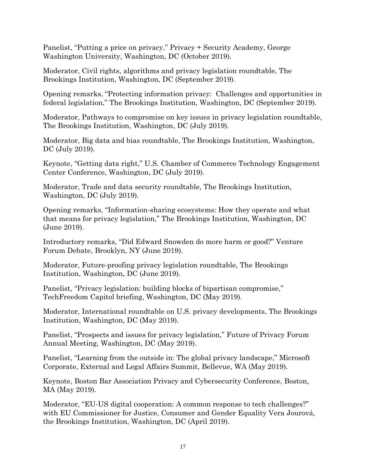Panelist, "Putting a price on privacy," Privacy + Security Academy, George Washington University, Washington, DC (October 2019).

Moderator, Civil rights, algorithms and privacy legislation roundtable, The Brookings Institution, Washington, DC (September 2019).

Opening remarks, "Protecting information privacy: Challenges and opportunities in federal legislation," The Brookings Institution, Washington, DC (September 2019).

Moderator, Pathways to compromise on key issues in privacy legislation roundtable, The Brookings Institution, Washington, DC (July 2019).

Moderator, Big data and bias roundtable, The Brookings Institution, Washington, DC (July 2019).

Keynote, "Getting data right," U.S. Chamber of Commerce Technology Engagement Center Conference, Washington, DC (July 2019).

Moderator, Trade and data security roundtable, The Brookings Institution, Washington, DC (July 2019).

Opening remarks, "Information-sharing ecosystems: How they operate and what that means for privacy legislation," The Brookings Institution, Washington, DC (June 2019).

Introductory remarks, "Did Edward Snowden do more harm or good?" Venture Forum Debate, Brooklyn, NY (June 2019).

Moderator, Future-proofing privacy legislation roundtable, The Brookings Institution, Washington, DC (June 2019).

Panelist, "Privacy legislation: building blocks of bipartisan compromise," TechFreedom Capitol briefing, Washington, DC (May 2019).

Moderator, International roundtable on U.S. privacy developments, The Brookings Institution, Washington, DC (May 2019).

Panelist, "Prospects and issues for privacy legislation," Future of Privacy Forum Annual Meeting, Washington, DC (May 2019).

Panelist, "Learning from the outside in: The global privacy landscape," Microsoft Corporate, External and Legal Affairs Summit, Bellevue, WA (May 2019).

Keynote, Boston Bar Association Privacy and Cybersecurity Conference, Boston, MA (May 2019).

Moderator, "EU-US digital cooperation: A common response to tech challenges?" with EU Commissioner for Justice, Consumer and Gender Equality Vera Jourová, the Brookings Institution, Washington, DC (April 2019).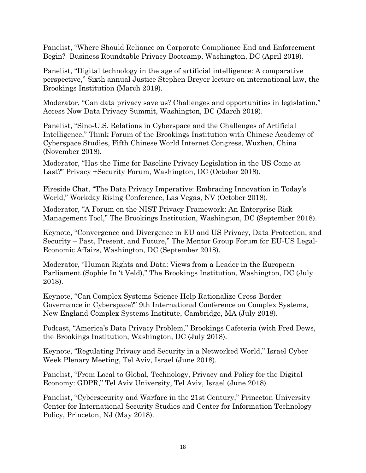Panelist, "Where Should Reliance on Corporate Compliance End and Enforcement Begin? Business Roundtable Privacy Bootcamp, Washington, DC (April 2019).

Panelist, "Digital technology in the age of artificial intelligence: A comparative perspective," Sixth annual Justice Stephen Breyer lecture on international law, the Brookings Institution (March 2019).

Moderator, "Can data privacy save us? Challenges and opportunities in legislation," Access Now Data Privacy Summit, Washington, DC (March 2019).

Panelist, "Sino-U.S. Relations in Cyberspace and the Challenges of Artificial Intelligence," Think Forum of the Brookings Institution with Chinese Academy of Cyberspace Studies, Fifth Chinese World Internet Congress, Wuzhen, China (November 2018).

Moderator, "Has the Time for Baseline Privacy Legislation in the US Come at Last?" Privacy +Security Forum, Washington, DC (October 2018).

Fireside Chat, "The Data Privacy Imperative: Embracing Innovation in Today's World," Workday Rising Conference, Las Vegas, NV (October 2018).

Moderator, "A Forum on the NIST Privacy Framework: An Enterprise Risk Management Tool," The Brookings Institution, Washington, DC (September 2018).

Keynote, "Convergence and Divergence in EU and US Privacy, Data Protection, and Security – Past, Present, and Future," The Mentor Group Forum for EU-US Legal-Economic Affairs, Washington, DC (September 2018).

Moderator, "Human Rights and Data: Views from a Leader in the European Parliament (Sophie In 't Veld)," The Brookings Institution, Washington, DC (July 2018).

Keynote, "Can Complex Systems Science Help Rationalize Cross-Border Governance in Cyberspace?" 9th International Conference on Complex Systems, New England Complex Systems Institute, Cambridge, MA (July 2018).

Podcast, "America's Data Privacy Problem," Brookings Cafeteria (with Fred Dews, the Brookings Institution, Washington, DC (July 2018).

Keynote, "Regulating Privacy and Security in a Networked World," Israel Cyber Week Plenary Meeting, Tel Aviv, Israel (June 2018).

Panelist, "From Local to Global, Technology, Privacy and Policy for the Digital Economy: GDPR," Tel Aviv University, Tel Aviv, Israel (June 2018).

Panelist, "Cybersecurity and Warfare in the 21st Century," Princeton University Center for International Security Studies and Center for Information Technology Policy, Princeton, NJ (May 2018).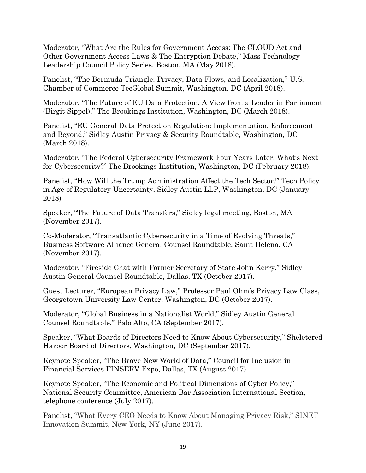Moderator, "What Are the Rules for Government Access: The CLOUD Act and Other Government Access Laws & The Encryption Debate," Mass Technology Leadership Council Policy Series, Boston, MA (May 2018).

Panelist, "The Bermuda Triangle: Privacy, Data Flows, and Localization," U.S. Chamber of Commerce TecGlobal Summit, Washington, DC (April 2018).

Moderator, "The Future of EU Data Protection: A View from a Leader in Parliament (Birgit Sippel)," The Brookings Institution, Washington, DC (March 2018).

Panelist, "EU General Data Protection Regulation: Implementation, Enforcement and Beyond," Sidley Austin Privacy & Security Roundtable, Washington, DC (March 2018).

Moderator, "The Federal Cybersecurity Framework Four Years Later: What's Next for Cybersecurity?" The Brookings Institution, Washington, DC (February 2018).

Panelist, "How Will the Trump Administration Affect the Tech Sector?" Tech Policy in Age of Regulatory Uncertainty, Sidley Austin LLP, Washington, DC (January 2018)

Speaker, "The Future of Data Transfers," Sidley legal meeting, Boston, MA (November 2017).

Co-Moderator, "Transatlantic Cybersecurity in a Time of Evolving Threats," Business Software Alliance General Counsel Roundtable, Saint Helena, CA (November 2017).

Moderator, "Fireside Chat with Former Secretary of State John Kerry," Sidley Austin General Counsel Roundtable, Dallas, TX (October 2017).

Guest Lecturer, "European Privacy Law," Professor Paul Ohm's Privacy Law Class, Georgetown University Law Center, Washington, DC (October 2017).

Moderator, "Global Business in a Nationalist World," Sidley Austin General Counsel Roundtable," Palo Alto, CA (September 2017).

Speaker, "What Boards of Directors Need to Know About Cybersecurity," Sheletered Harbor Board of Directors, Washington, DC (September 2017).

Keynote Speaker, "The Brave New World of Data," Council for Inclusion in Financial Services FINSERV Expo, Dallas, TX (August 2017).

Keynote Speaker, "The Economic and Political Dimensions of Cyber Policy," National Security Committee, American Bar Association International Section, telephone conference (July 2017).

Panelist, "What Every CEO Needs to Know About Managing Privacy Risk," SINET Innovation Summit, New York, NY (June 2017).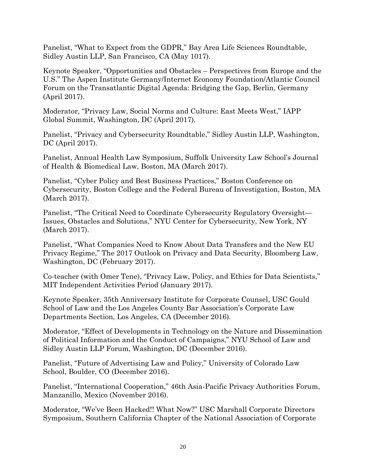Panelist, "What to Expect from the GDPR," Bay Area Life Sciences Roundtable, Sidley Austin LLP, San Francisco, CA (May 1017).

Keynote Speaker, "Opportunities and Obstacles – Perspectives from Europe and the U.S." The Aspen Institute Germany/Internet Economy Foundation/Atlantic Council Forum on the Transatlantic Digital Agenda: Bridging the Gap, Berlin, Germany (April 2017).

Moderator, "Privacy Law, Social Norms and Culture: East Meets West," IAPP Global Summit, Washington, DC (April 2017).

Panelist, "Privacy and Cybersecurity Roundtable," Sidley Austin LLP, Washington, DC (April 2017).

Panelist, Annual Health Law Symposium, Suffolk University Law School's Journal of Health & Biomedical Law, Boston, MA (March 2017).

Panelist, "Cyber Policy and Best Business Practices," Boston Conference on Cybersecurity, Boston College and the Federal Bureau of Investigation, Boston, MA (March 2017).

Panelist, "The Critical Need to Coordinate Cybersecurity Regulatory Oversight— Issues, Obstacles and Solutions," NYU Center for Cybersecurity, New York, NY (March 2017).

Panelist, "What Companies Need to Know About Data Transfers and the New EU Privacy Regime," The 2017 Outlook on Privacy and Data Security, Bloomberg Law, Washington, DC (February 2017).

Co-teacher (with Omer Tene), "Privacy Law, Policy, and Ethics for Data Scientists," MIT Independent Activities Period (January 2017).

Keynote Speaker, 35th Anniversary Institute for Corporate Counsel, USC Gould School of Law and the Los Angeles County Bar Association's Corporate Law Departments Section, Los Angeles, CA (December 2016).

Moderator, "Effect of Developments in Technology on the Nature and Dissemination of Political Information and the Conduct of Campaigns," NYU School of Law and Sidley Austin LLP Forum, Washington, DC (December 2016).

Panelist, "Future of Advertising Law and Policy," University of Colorado Law School, Boulder, CO (December 2016).

Panelist, "International Cooperation," 46th Asia-Pacific Privacy Authorities Forum, Manzanillo, Mexico (November 2016).

Moderator, "We've Been Hacked!! What Now?" USC Marshall Corporate Directors Symposium, Southern California Chapter of the National Association of Corporate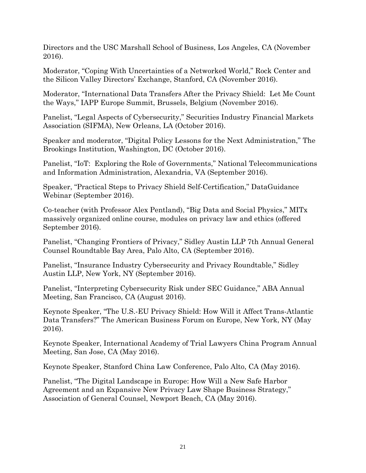Directors and the USC Marshall School of Business, Los Angeles, CA (November 2016).

Moderator, "Coping With Uncertainties of a Networked World," Rock Center and the Silicon Valley Directors' Exchange, Stanford, CA (November 2016).

Moderator, "International Data Transfers After the Privacy Shield: Let Me Count the Ways," IAPP Europe Summit, Brussels, Belgium (November 2016).

Panelist, "Legal Aspects of Cybersecurity," Securities Industry Financial Markets Association (SIFMA), New Orleans, LA (October 2016).

Speaker and moderator, "Digital Policy Lessons for the Next Administration," The Brookings Institution, Washington, DC (October 2016).

Panelist, "IoT: Exploring the Role of Governments," National Telecommunications and Information Administration, Alexandria, VA (September 2016).

Speaker, "Practical Steps to Privacy Shield Self-Certification," DataGuidance Webinar (September 2016).

Co-teacher (with Professor Alex Pentland), "Big Data and Social Physics," MITx massively organized online course, modules on privacy law and ethics (offered September 2016).

Panelist, "Changing Frontiers of Privacy," Sidley Austin LLP 7th Annual General Counsel Roundtable Bay Area, Palo Alto, CA (September 2016).

Panelist, "Insurance Industry Cybersecurity and Privacy Roundtable," Sidley Austin LLP, New York, NY (September 2016).

Panelist, "Interpreting Cybersecurity Risk under SEC Guidance," ABA Annual Meeting, San Francisco, CA (August 2016).

Keynote Speaker, "The U.S.-EU Privacy Shield: How Will it Affect Trans-Atlantic Data Transfers?" The American Business Forum on Europe, New York, NY (May 2016).

Keynote Speaker, International Academy of Trial Lawyers China Program Annual Meeting, San Jose, CA (May 2016).

Keynote Speaker, Stanford China Law Conference, Palo Alto, CA (May 2016).

Panelist, "The Digital Landscape in Europe: How Will a New Safe Harbor Agreement and an Expansive New Privacy Law Shape Business Strategy," Association of General Counsel, Newport Beach, CA (May 2016).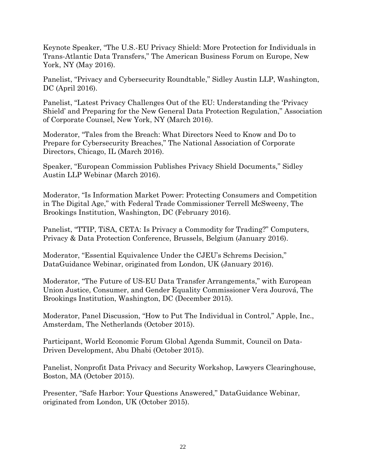Keynote Speaker, "The U.S.-EU Privacy Shield: More Protection for Individuals in Trans-Atlantic Data Transfers," The American Business Forum on Europe, New York, NY (May 2016).

Panelist, "Privacy and Cybersecurity Roundtable," Sidley Austin LLP, Washington, DC (April 2016).

Panelist, "Latest Privacy Challenges Out of the EU: Understanding the 'Privacy Shield' and Preparing for the New General Data Protection Regulation," Association of Corporate Counsel, New York, NY (March 2016).

Moderator, "Tales from the Breach: What Directors Need to Know and Do to Prepare for Cybersecurity Breaches," The National Association of Corporate Directors, Chicago, IL (March 2016).

Speaker, "European Commission Publishes Privacy Shield Documents," Sidley Austin LLP Webinar (March 2016).

Moderator, "Is Information Market Power: Protecting Consumers and Competition in The Digital Age," with Federal Trade Commissioner Terrell McSweeny, The Brookings Institution, Washington, DC (February 2016).

Panelist, "TTIP, TiSA, CETA: Is Privacy a Commodity for Trading?" Computers, Privacy & Data Protection Conference, Brussels, Belgium (January 2016).

Moderator, "Essential Equivalence Under the CJEU's Schrems Decision," DataGuidance Webinar, originated from London, UK (January 2016).

Moderator, "The Future of US-EU Data Transfer Arrangements," with European Union Justice, Consumer, and Gender Equality Commissioner Vera Jourová, The Brookings Institution, Washington, DC (December 2015).

Moderator, Panel Discussion, "How to Put The Individual in Control," Apple, Inc., Amsterdam, The Netherlands (October 2015).

Participant, World Economic Forum Global Agenda Summit, Council on Data-Driven Development, Abu Dhabi (October 2015).

Panelist, Nonprofit Data Privacy and Security Workshop, Lawyers Clearinghouse, Boston, MA (October 2015).

Presenter, "Safe Harbor: Your Questions Answered," DataGuidance Webinar, originated from London, UK (October 2015).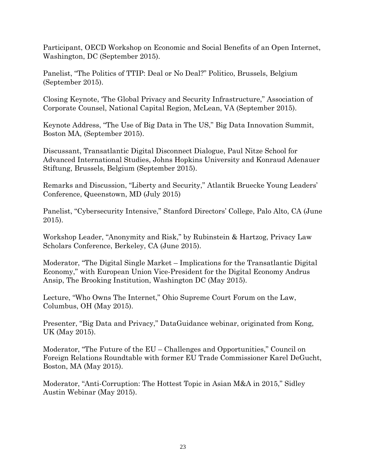Participant, OECD Workshop on Economic and Social Benefits of an Open Internet, Washington, DC (September 2015).

Panelist, "The Politics of TTIP: Deal or No Deal?" Politico, Brussels, Belgium (September 2015).

Closing Keynote, 'The Global Privacy and Security Infrastructure," Association of Corporate Counsel, National Capital Region, McLean, VA (September 2015).

Keynote Address, "The Use of Big Data in The US," Big Data Innovation Summit, Boston MA, (September 2015).

Discussant, Transatlantic Digital Disconnect Dialogue, Paul Nitze School for Advanced International Studies, Johns Hopkins University and Konraud Adenauer Stiftung, Brussels, Belgium (September 2015).

Remarks and Discussion, "Liberty and Security," Atlantik Bruecke Young Leaders' Conference, Queenstown, MD (July 2015)

Panelist, "Cybersecurity Intensive," Stanford Directors' College, Palo Alto, CA (June 2015).

Workshop Leader, "Anonymity and Risk," by Rubinstein & Hartzog, Privacy Law Scholars Conference, Berkeley, CA (June 2015).

Moderator, "The Digital Single Market – Implications for the Transatlantic Digital Economy," with European Union Vice-President for the Digital Economy Andrus Ansip, The Brooking Institution, Washington DC (May 2015).

Lecture, "Who Owns The Internet," Ohio Supreme Court Forum on the Law, Columbus, OH (May 2015).

Presenter, "Big Data and Privacy," DataGuidance webinar, originated from Kong, UK (May 2015).

Moderator, "The Future of the EU – Challenges and Opportunities," Council on Foreign Relations Roundtable with former EU Trade Commissioner Karel DeGucht, Boston, MA (May 2015).

Moderator, "Anti-Corruption: The Hottest Topic in Asian M&A in 2015," Sidley Austin Webinar (May 2015).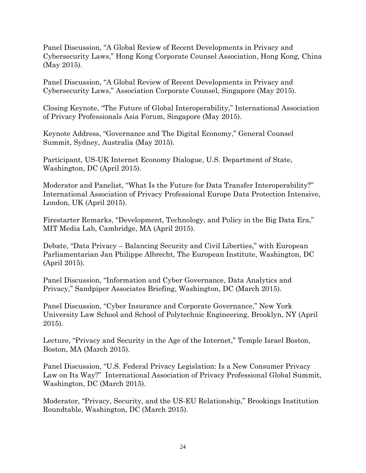Panel Discussion, "A Global Review of Recent Developments in Privacy and Cybersecurity Laws," Hong Kong Corporate Counsel Association, Hong Kong, China (May 2015).

Panel Discussion, "A Global Review of Recent Developments in Privacy and Cybersecurity Laws," Association Corporate Counsel, Singapore (May 2015).

Closing Keynote, "The Future of Global Interoperability," International Association of Privacy Professionals Asia Forum, Singapore (May 2015).

Keynote Address, "Governance and The Digital Economy," General Counsel Summit, Sydney, Australia (May 2015).

Participant, US-UK Internet Economy Dialogue, U.S. Department of State, Washington, DC (April 2015).

Moderator and Panelist, "What Is the Future for Data Transfer Interoperability?" International Association of Privacy Professional Europe Data Protection Intensive, London, UK (April 2015).

Firestarter Remarks, "Development, Technology, and Policy in the Big Data Era," MIT Media Lab, Cambridge, MA (April 2015).

Debate, "Data Privacy – Balancing Security and Civil Liberties," with European Parliamentarian Jan Philippe Albrecht, The European Institute, Washington, DC (April 2015).

Panel Discussion, "Information and Cyber Governance, Data Analytics and Privacy," Sandpiper Associates Briefing, Washington, DC (March 2015).

Panel Discussion, "Cyber Insurance and Corporate Governance," New York University Law School and School of Polytechnic Engineering, Brooklyn, NY (April 2015).

Lecture, "Privacy and Security in the Age of the Internet," Temple Israel Boston, Boston, MA (March 2015).

Panel Discussion, "U.S. Federal Privacy Legislation: Is a New Consumer Privacy Law on Its Way?" International Association of Privacy Professional Global Summit, Washington, DC (March 2015).

Moderator, "Privacy, Security, and the US-EU Relationship," Brookings Institution Roundtable, Washington, DC (March 2015).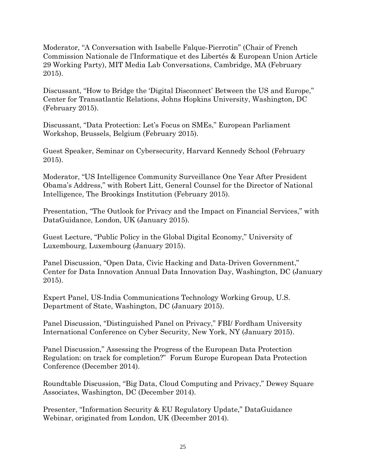Moderator, "A Conversation with Isabelle Falque-Pierrotin" (Chair of French Commission Nationale de l'Informatique et des Libertés & European Union Article 29 Working Party), MIT Media Lab Conversations, Cambridge, MA (February 2015).

Discussant, "How to Bridge the 'Digital Disconnect' Between the US and Europe," Center for Transatlantic Relations, Johns Hopkins University, Washington, DC (February 2015).

Discussant, "Data Protection: Let's Focus on SMEs," European Parliament Workshop, Brussels, Belgium (February 2015).

Guest Speaker, Seminar on Cybersecurity, Harvard Kennedy School (February 2015).

Moderator, "US Intelligence Community Surveillance One Year After President Obama's Address," with Robert Litt, General Counsel for the Director of National Intelligence, The Brookings Institution (February 2015).

Presentation, "The Outlook for Privacy and the Impact on Financial Services," with DataGuidance, London, UK (January 2015).

Guest Lecture, "Public Policy in the Global Digital Economy," University of Luxembourg, Luxembourg (January 2015).

Panel Discussion, "Open Data, Civic Hacking and Data-Driven Government," Center for Data Innovation Annual Data Innovation Day, Washington, DC (January 2015).

Expert Panel, US-India Communications Technology Working Group, U.S. Department of State, Washington, DC (January 2015).

Panel Discussion, "Distinguished Panel on Privacy," FBI/ Fordham University International Conference on Cyber Security, New York, NY (January 2015).

Panel Discussion," Assessing the Progress of the European Data Protection Regulation: on track for completion?" Forum Europe European Data Protection Conference (December 2014).

Roundtable Discussion, "Big Data, Cloud Computing and Privacy," Dewey Square Associates, Washington, DC (December 2014).

Presenter, "Information Security & EU Regulatory Update," DataGuidance Webinar, originated from London, UK (December 2014).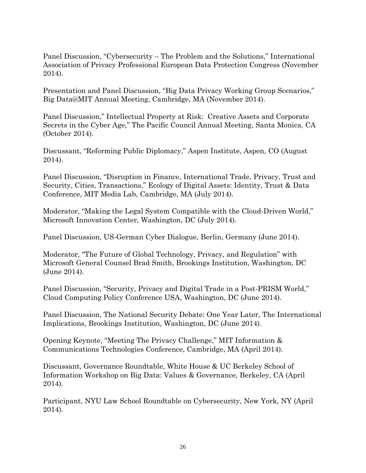Panel Discussion, "Cybersecurity – The Problem and the Solutions," International Association of Privacy Professional European Data Protection Congress (November 2014).

Presentation and Panel Discussion, "Big Data Privacy Working Group Scenarios," Big Data@MIT Annual Meeting, Cambridge, MA (November 2014).

Panel Discussion," Intellectual Property at Risk: Creative Assets and Corporate Secrets in the Cyber Age," The Pacific Council Annual Meeting, Santa Monica, CA (October 2014).

Discussant, "Reforming Public Diplomacy," Aspen Institute, Aspen, CO (August 2014).

Panel Discussion, "Disruption in Finance, International Trade, Privacy, Trust and Security, Cities, Transactions," Ecology of Digital Assets: Identity, Trust & Data Conference, MIT Media Lab, Cambridge, MA (July 2014).

Moderator, "Making the Legal System Compatible with the Cloud-Driven World," Microsoft Innovation Center, Washington, DC (July 2014).

Panel Discussion, US-German Cyber Dialogue, Berlin, Germany (June 2014).

Moderator, "The Future of Global Technology, Privacy, and Regulation" with Microsoft General Counsel Brad Smith, Brookings Institution, Washington, DC (June 2014).

Panel Discussion, "Security, Privacy and Digital Trade in a Post-PRISM World," Cloud Computing Policy Conference USA, Washington, DC (June 2014).

Panel Discussion, The National Security Debate: One Year Later, The International Implications, Brookings Institution, Washington, DC (June 2014).

Opening Keynote, "Meeting The Privacy Challenge," MIT Information & Communications Technologies Conference, Cambridge, MA (April 2014).

Discussant, Governance Roundtable, White House & UC Berkeley School of Information Workshop on Big Data: Values & Governance, Berkeley, CA (April 2014).

Participant, NYU Law School Roundtable on Cybersecurity, New York, NY (April 2014).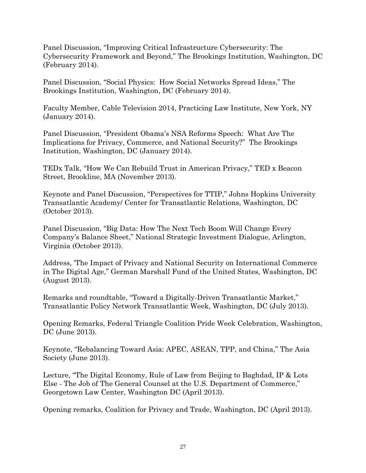Panel Discussion, "Improving Critical Infrastructure Cybersecurity: The Cybersecurity Framework and Beyond," The Brookings Institution, Washington, DC (February 2014).

Panel Discussion, "Social Physics: How Social Networks Spread Ideas," The Brookings Institution, Washington, DC (February 2014).

Faculty Member, Cable Television 2014, Practicing Law Institute, New York, NY (January 2014).

Panel Discussion, "President Obama's NSA Reforms Speech: What Are The Implications for Privacy, Commerce, and National Security?" The Brookings Institution, Washington, DC (January 2014).

TEDx Talk, "How We Can Rebuild Trust in American Privacy," TED x Beacon Street, Brookline, MA (November 2013).

Keynote and Panel Discussion, "Perspectives for TTIP," Johns Hopkins University Transatlantic Academy/ Center for Transatlantic Relations, Washington, DC (October 2013).

Panel Discussion, "Big Data: How The Next Tech Boom Will Change Every Company's Balance Sheet," National Strategic Investment Dialogue, Arlington, Virginia (October 2013).

Address, 'The Impact of Privacy and National Security on International Commerce in The Digital Age," German Marshall Fund of the United States, Washington, DC (August 2013).

Remarks and roundtable, "Toward a Digitally-Driven Transatlantic Market," Transatlantic Policy Network Transatlantic Week, Washington, DC (July 2013).

Opening Remarks, Federal Triangle Coalition Pride Week Celebration, Washington, DC (June 2013).

Keynote, "Rebalancing Toward Asia: APEC, ASEAN, TPP, and China," The Asia Society (June 2013).

Lecture, "The Digital Economy, Rule of Law from Beijing to Baghdad, IP & Lots Else - The Job of The General Counsel at the U.S. Department of Commerce," Georgetown Law Center, Washington DC (April 2013).

Opening remarks, Coalition for Privacy and Trade, Washington, DC (April 2013).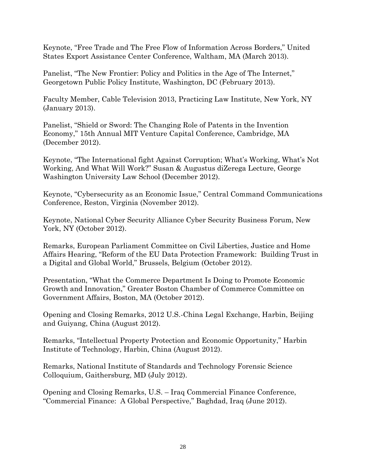Keynote, "Free Trade and The Free Flow of Information Across Borders," United States Export Assistance Center Conference, Waltham, MA (March 2013).

Panelist, "The New Frontier: Policy and Politics in the Age of The Internet," Georgetown Public Policy Institute, Washington, DC (February 2013).

Faculty Member, Cable Television 2013, Practicing Law Institute, New York, NY (January 2013).

Panelist, "Shield or Sword: The Changing Role of Patents in the Invention Economy," 15th Annual MIT Venture Capital Conference, Cambridge, MA (December 2012).

Keynote, "The International fight Against Corruption; What's Working, What's Not Working, And What Will Work?" Susan & Augustus diZerega Lecture, George Washington University Law School (December 2012).

Keynote, "Cybersecurity as an Economic Issue," Central Command Communications Conference, Reston, Virginia (November 2012).

Keynote, National Cyber Security Alliance Cyber Security Business Forum, New York, NY (October 2012).

Remarks, European Parliament Committee on Civil Liberties, Justice and Home Affairs Hearing, "Reform of the EU Data Protection Framework: Building Trust in a Digital and Global World," Brussels, Belgium (October 2012).

Presentation, "What the Commerce Department Is Doing to Promote Economic Growth and Innovation," Greater Boston Chamber of Commerce Committee on Government Affairs, Boston, MA (October 2012).

Opening and Closing Remarks, 2012 U.S.-China Legal Exchange, Harbin, Beijing and Guiyang, China (August 2012).

Remarks, "Intellectual Property Protection and Economic Opportunity," Harbin Institute of Technology, Harbin, China (August 2012).

Remarks, National Institute of Standards and Technology Forensic Science Colloquium, Gaithersburg, MD (July 2012).

Opening and Closing Remarks, U.S. – Iraq Commercial Finance Conference, "Commercial Finance: A Global Perspective," Baghdad, Iraq (June 2012).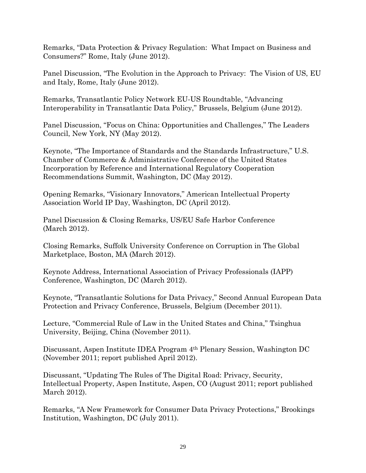Remarks, "Data Protection & Privacy Regulation: What Impact on Business and Consumers?" Rome, Italy (June 2012).

Panel Discussion, "The Evolution in the Approach to Privacy: The Vision of US, EU and Italy, Rome, Italy (June 2012).

Remarks, Transatlantic Policy Network EU-US Roundtable, "Advancing Interoperability in Transatlantic Data Policy," Brussels, Belgium (June 2012).

Panel Discussion, "Focus on China: Opportunities and Challenges," The Leaders Council, New York, NY (May 2012).

Keynote, "The Importance of Standards and the Standards Infrastructure," U.S. Chamber of Commerce & Administrative Conference of the United States Incorporation by Reference and International Regulatory Cooperation Recommendations Summit, Washington, DC (May 2012).

Opening Remarks, "Visionary Innovators," American Intellectual Property Association World IP Day, Washington, DC (April 2012).

Panel Discussion & Closing Remarks, US/EU Safe Harbor Conference (March 2012).

Closing Remarks, Suffolk University Conference on Corruption in The Global Marketplace, Boston, MA (March 2012).

Keynote Address, International Association of Privacy Professionals (IAPP) Conference, Washington, DC (March 2012).

Keynote, "Transatlantic Solutions for Data Privacy," Second Annual European Data Protection and Privacy Conference, Brussels, Belgium (December 2011).

Lecture, "Commercial Rule of Law in the United States and China," Tsinghua University, Beijing, China (November 2011).

Discussant, Aspen Institute IDEA Program 4th Plenary Session, Washington DC (November 2011; report published April 2012).

Discussant, "Updating The Rules of The Digital Road: Privacy, Security, Intellectual Property, Aspen Institute, Aspen, CO (August 2011; report published March 2012).

Remarks, "A New Framework for Consumer Data Privacy Protections," Brookings Institution, Washington, DC (July 2011).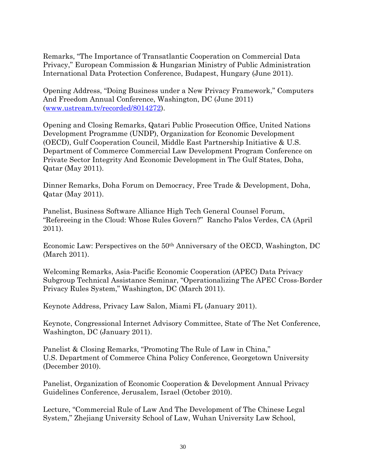Remarks, "The Importance of Transatlantic Cooperation on Commercial Data Privacy," European Commission & Hungarian Ministry of Public Administration International Data Protection Conference, Budapest, Hungary (June 2011).

Opening Address, "Doing Business under a New Privacy Framework," Computers And Freedom Annual Conference, Washington, DC (June 2011) [\(www.ustream.tv/recorded/8014272\)](http://www.ustream.tv/recorded/8014272).

Opening and Closing Remarks, Qatari Public Prosecution Office, United Nations Development Programme (UNDP), Organization for Economic Development (OECD), Gulf Cooperation Council, Middle East Partnership Initiative & U.S. Department of Commerce Commercial Law Development Program Conference on Private Sector Integrity And Economic Development in The Gulf States, Doha, Qatar (May 2011).

Dinner Remarks, Doha Forum on Democracy, Free Trade & Development, Doha, Qatar (May 2011).

Panelist, Business Software Alliance High Tech General Counsel Forum, "Refereeing in the Cloud: Whose Rules Govern?" Rancho Palos Verdes, CA (April 2011).

Economic Law: Perspectives on the 50th Anniversary of the OECD, Washington, DC (March 2011).

Welcoming Remarks, Asia-Pacific Economic Cooperation (APEC) Data Privacy Subgroup Technical Assistance Seminar, "Operationalizing The APEC Cross-Border Privacy Rules System," Washington, DC (March 2011).

Keynote Address, Privacy Law Salon, Miami FL (January 2011).

Keynote, Congressional Internet Advisory Committee, State of The Net Conference, Washington, DC (January 2011).

Panelist & Closing Remarks, "Promoting The Rule of Law in China," U.S. Department of Commerce China Policy Conference, Georgetown University (December 2010).

Panelist, Organization of Economic Cooperation & Development Annual Privacy Guidelines Conference, Jerusalem, Israel (October 2010).

Lecture, "Commercial Rule of Law And The Development of The Chinese Legal System," Zhejiang University School of Law, Wuhan University Law School,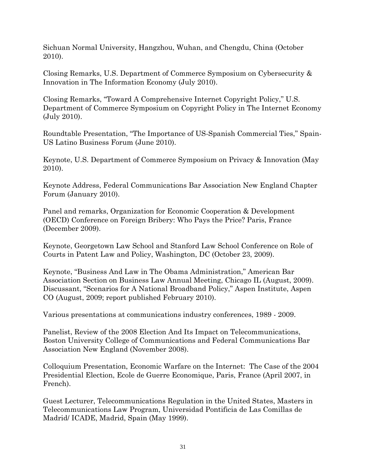Sichuan Normal University, Hangzhou, Wuhan, and Chengdu, China (October 2010).

Closing Remarks, U.S. Department of Commerce Symposium on Cybersecurity & Innovation in The Information Economy (July 2010).

Closing Remarks, "Toward A Comprehensive Internet Copyright Policy," U.S. Department of Commerce Symposium on Copyright Policy in The Internet Economy (July 2010).

Roundtable Presentation, "The Importance of US-Spanish Commercial Ties," Spain-US Latino Business Forum (June 2010).

Keynote, U.S. Department of Commerce Symposium on Privacy & Innovation (May 2010).

Keynote Address, Federal Communications Bar Association New England Chapter Forum (January 2010).

Panel and remarks, Organization for Economic Cooperation & Development (OECD) Conference on Foreign Bribery: Who Pays the Price? Paris, France (December 2009).

Keynote, Georgetown Law School and Stanford Law School Conference on Role of Courts in Patent Law and Policy, Washington, DC (October 23, 2009).

Keynote, "Business And Law in The Obama Administration," American Bar Association Section on Business Law Annual Meeting, Chicago IL (August, 2009). Discussant, "Scenarios for A National Broadband Policy," Aspen Institute, Aspen CO (August, 2009; report published February 2010).

Various presentations at communications industry conferences, 1989 - 2009.

Panelist, Review of the 2008 Election And Its Impact on Telecommunications, Boston University College of Communications and Federal Communications Bar Association New England (November 2008).

Colloquium Presentation, Economic Warfare on the Internet: The Case of the 2004 Presidential Election, Ecole de Guerre Economique, Paris, France (April 2007, in French).

Guest Lecturer, Telecommunications Regulation in the United States, Masters in Telecommunications Law Program, Universidad Pontificia de Las Comillas de Madrid/ ICADE, Madrid, Spain (May 1999).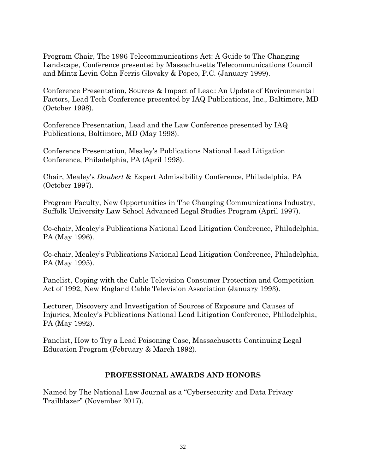Program Chair, The 1996 Telecommunications Act: A Guide to The Changing Landscape, Conference presented by Massachusetts Telecommunications Council and Mintz Levin Cohn Ferris Glovsky & Popeo, P.C. (January 1999).

Conference Presentation, Sources & Impact of Lead: An Update of Environmental Factors, Lead Tech Conference presented by IAQ Publications, Inc., Baltimore, MD (October 1998).

Conference Presentation, Lead and the Law Conference presented by IAQ Publications, Baltimore, MD (May 1998).

Conference Presentation, Mealey's Publications National Lead Litigation Conference, Philadelphia, PA (April 1998).

Chair, Mealey's *Daubert* & Expert Admissibility Conference, Philadelphia, PA (October 1997).

Program Faculty, New Opportunities in The Changing Communications Industry, Suffolk University Law School Advanced Legal Studies Program (April 1997).

Co-chair, Mealey's Publications National Lead Litigation Conference, Philadelphia, PA (May 1996).

Co-chair, Mealey's Publications National Lead Litigation Conference, Philadelphia, PA (May 1995).

Panelist, Coping with the Cable Television Consumer Protection and Competition Act of 1992, New England Cable Television Association (January 1993).

Lecturer, Discovery and Investigation of Sources of Exposure and Causes of Injuries, Mealey's Publications National Lead Litigation Conference, Philadelphia, PA (May 1992).

Panelist, How to Try a Lead Poisoning Case, Massachusetts Continuing Legal Education Program (February & March 1992).

## **PROFESSIONAL AWARDS AND HONORS**

Named by The National Law Journal as a "Cybersecurity and Data Privacy Trailblazer" (November 2017).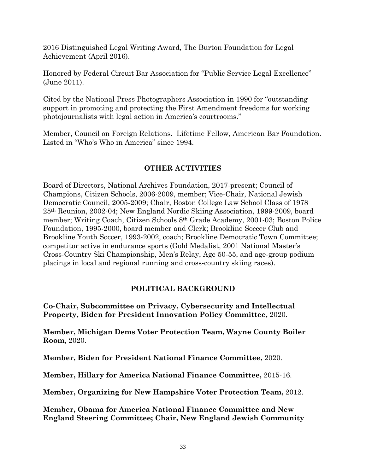2016 Distinguished Legal Writing Award, The Burton Foundation for Legal Achievement (April 2016).

Honored by Federal Circuit Bar Association for "Public Service Legal Excellence" (June 2011).

Cited by the National Press Photographers Association in 1990 for "outstanding support in promoting and protecting the First Amendment freedoms for working photojournalists with legal action in America's courtrooms."

Member, Council on Foreign Relations. Lifetime Fellow, American Bar Foundation. Listed in "Who's Who in America" since 1994.

## **OTHER ACTIVITIES**

Board of Directors, National Archives Foundation, 2017-present; Council of Champions, Citizen Schools, 2006-2009, member; Vice-Chair, National Jewish Democratic Council, 2005-2009; Chair, Boston College Law School Class of 1978 25th Reunion, 2002-04; New England Nordic Skiing Association, 1999-2009, board member; Writing Coach, Citizen Schools 8th Grade Academy, 2001-03; Boston Police Foundation, 1995-2000, board member and Clerk; Brookline Soccer Club and Brookline Youth Soccer, 1993-2002, coach; Brookline Democratic Town Committee; competitor active in endurance sports (Gold Medalist, 2001 National Master's Cross-Country Ski Championship, Men's Relay, Age 50-55, and age-group podium placings in local and regional running and cross-country skiing races).

# **POLITICAL BACKGROUND**

**Co-Chair, Subcommittee on Privacy, Cybersecurity and Intellectual Property, Biden for President Innovation Policy Committee,** 2020.

**Member, Michigan Dems Voter Protection Team, Wayne County Boiler Room**, 2020.

**Member, Biden for President National Finance Committee,** 2020.

**Member, Hillary for America National Finance Committee,** 2015-16.

**Member, Organizing for New Hampshire Voter Protection Team,** 2012.

**Member, Obama for America National Finance Committee and New England Steering Committee; Chair, New England Jewish Community**